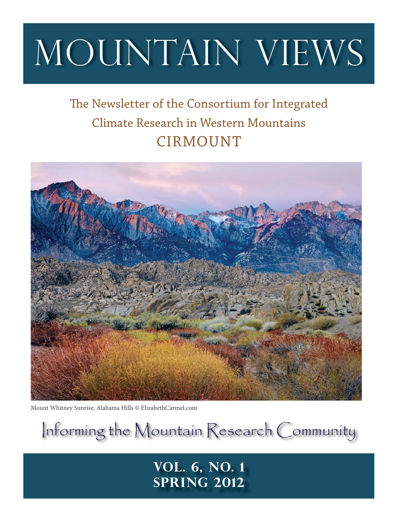# MOUNTAIN VIEWS

# The Newsletter of the Consortium for Integrated Climate Research in Western Mountains CIRMOUNT



Mount Whitney Sunrise, Alabama Hills © ElizabethCarmel.com

Informing the Mountain Research Community

## **Vol. 6, No. 1 Spring 2012**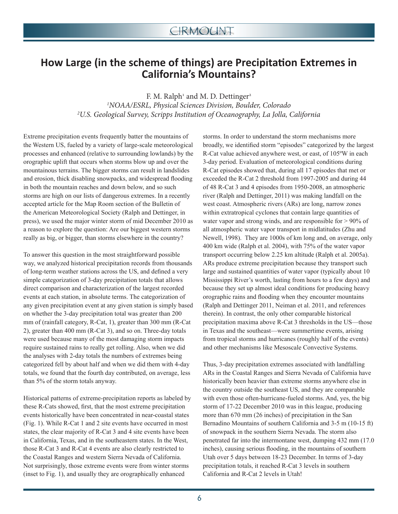## **How Large (in the scheme of things) are Precipitation Extremes in California's Mountains?**

F. M. Ralph<sup>1</sup> and M. D. Dettinger<sup>2</sup> 1 NOAA/ESRL, Physical Sciences Division, Boulder, Colorado 2 U.S. Geological Survey, Scripps Institution of Oceanography, La Jolla, California

Extreme precipitation events frequently batter the mountains of the Western US, fueled by a variety of large-scale meteorological processes and enhanced (relative to surrounding lowlands) by the orographic uplift that occurs when storms blow up and over the mountainous terrains. The bigger storms can result in landslides and erosion, thick disabling snowpacks, and widespread flooding in both the mountain reaches and down below, and so such storms are high on our lists of dangerous extremes. In a recently accepted article for the Map Room section of the Bulletin of the American Meteorological Society (Ralph and Dettinger, in press), we used the major winter storm of mid December 2010 as a reason to explore the question: Are our biggest western storms really as big, or bigger, than storms elsewhere in the country?

To answer this question in the most straightforward possible way, we analyzed historical precipitation records from thousands of long-term weather stations across the US, and defined a very simple categorization of 3-day precipitation totals that allows direct comparison and characterization of the largest recorded events at each station, in absolute terms. The categorization of any given precipitation event at any given station is simply based on whether the 3-day precipitation total was greater than 200 mm of (rainfall category, R-Cat, 1), greater than 300 mm (R-Cat 2), greater than 400 mm (R-Cat 3), and so on. Three-day totals were used because many of the most damaging storm impacts require sustained rains to really get rolling. Also, when we did the analyses with 2-day totals the numbers of extremes being categorized fell by about half and when we did them with 4-day totals, we found that the fourth day contributed, on average, less than 5% of the storm totals anyway.

Historical patterns of extreme-precipitation reports as labeled by these R-Cats showed, first, that the most extreme precipitation events historically have been concentrated in near-coastal states (Fig. 1). While R-Cat 1 and 2 site events have occurred in most states, the clear majority of R-Cat 3 and 4 site events have been in California, Texas, and in the southeastern states. In the West, those R-Cat 3 and R-Cat 4 events are also clearly restricted to the Coastal Ranges and western Sierra Nevada of California. Not surprisingly, those extreme events were from winter storms (inset to Fig. 1), and usually they are orographically enhanced

storms. In order to understand the storm mechanisms more broadly, we identified storm "episodes" categorized by the largest R-Cat value achieved anywhere west, or east, of 105ºW in each 3-day period. Evaluation of meteorological conditions during R-Cat episodes showed that, during all 17 episodes that met or exceeded the R-Cat 2 threshold from 1997-2005 and during 44 of 48 R-Cat 3 and 4 episodes from 1950-2008, an atmospheric river (Ralph and Dettinger, 2011) was making landfall on the west coast. Atmospheric rivers (ARs) are long, narrow zones within extratropical cyclones that contain large quantities of water vapor and strong winds, and are responsible for  $> 90\%$  of all atmospheric water vapor transport in midlatitudes (Zhu and Newell, 1998). They are 1000s of km long and, on average, only 400 km wide (Ralph et al. 2004), with 75% of the water vapor transport occurring below 2.25 km altitude (Ralph et al. 2005a). ARs produce extreme precipitation because they transport such large and sustained quantities of water vapor (typically about 10 Mississippi River's worth, lasting from hours to a few days) and because they set up almost ideal conditions for producing heavy orographic rains and flooding when they encounter mountains (Ralph and Dettinger 2011, Neiman et al. 2011, and references therein). In contrast, the only other comparable historical precipitation maxima above R-Cat 3 thresholds in the US—those in Texas and the southeast—were summertime events, arising from tropical storms and hurricanes (roughly half of the events) and other mechanisms like Mesoscale Convective Systems.

Thus, 3-day precipitation extremes associated with landfalling ARs in the Coastal Ranges and Sierra Nevada of California have historically been heavier than extreme storms anywhere else in the country outside the southeast US, and they are comparable with even those often-hurricane-fueled storms. And, yes, the big storm of 17-22 December 2010 was in this league, producing more than 670 mm (26 inches) of precipitation in the San Bernadino Mountains of southern California and 3-5 m (10-15 ft) of snowpack in the southern Sierra Nevada. The storm also penetrated far into the intermontane west, dumping 432 mm (17.0 inches), causing serious flooding, in the mountains of southern Utah over 5 days between 18-23 December. In terms of 3-day precipitation totals, it reached R-Cat 3 levels in southern California and R-Cat 2 levels in Utah!